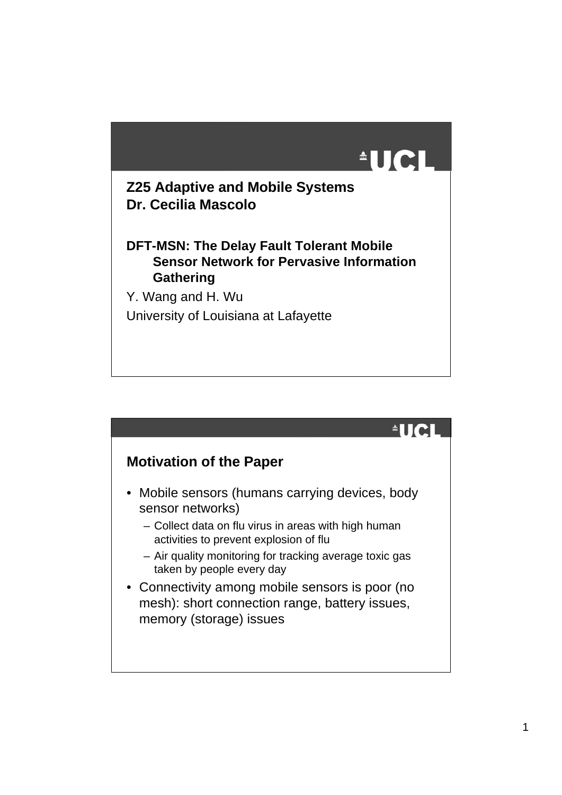

#### **Z25 Adaptive and Mobile Systems Dr. Cecilia Mascolo**

#### **DFT-MSN: The Delay Fault Tolerant Mobile Sensor Network for Pervasive Information Gathering**

Y. Wang and H. Wu University of Louisiana at Lafayette

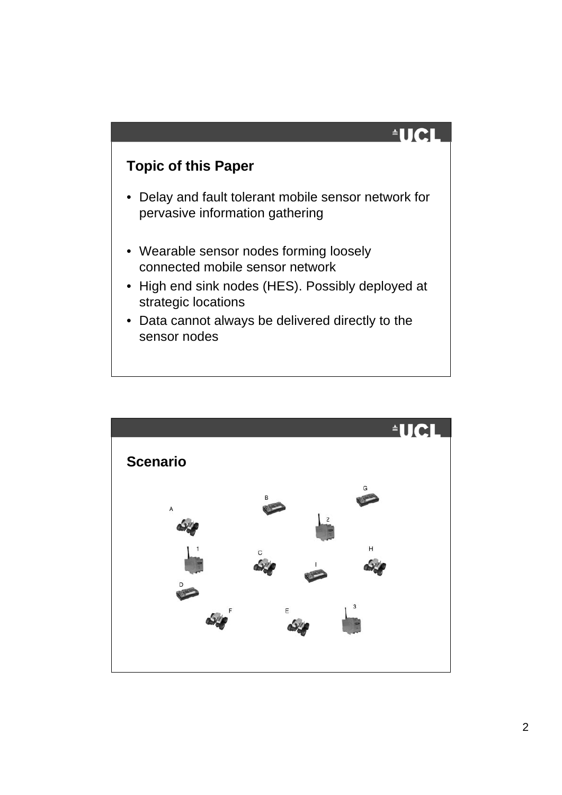

### **Topic of this Paper**

- Delay and fault tolerant mobile sensor network for pervasive information gathering
- Wearable sensor nodes forming loosely connected mobile sensor network
- High end sink nodes (HES). Possibly deployed at strategic locations
- Data cannot always be delivered directly to the sensor nodes

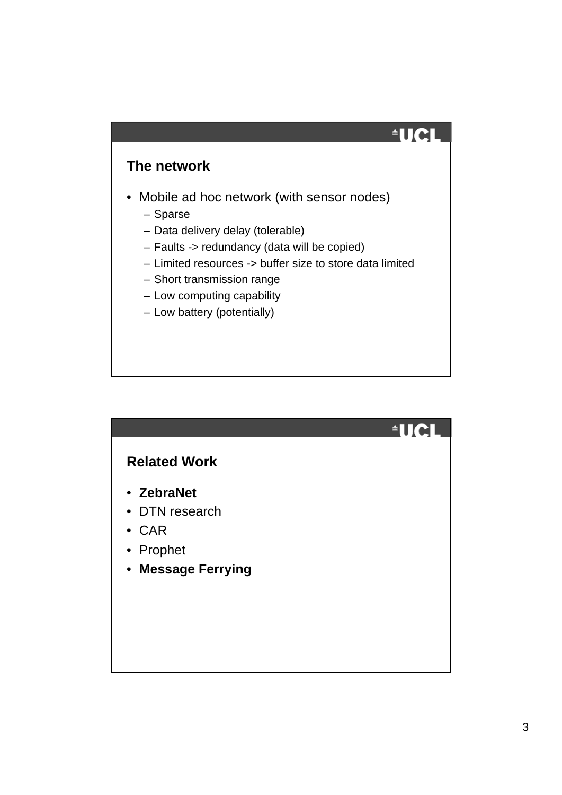$\triangleq$ UCI

### **The network**

- Mobile ad hoc network (with sensor nodes)
	- Sparse
	- Data delivery delay (tolerable)
	- Faults -> redundancy (data will be copied)
	- Limited resources -> buffer size to store data limited
	- Short transmission range
	- Low computing capability
	- Low battery (potentially)

#### **Related Work**

- **ZebraNet**
- DTN research
- CAR
- Prophet
- **Message Ferrying**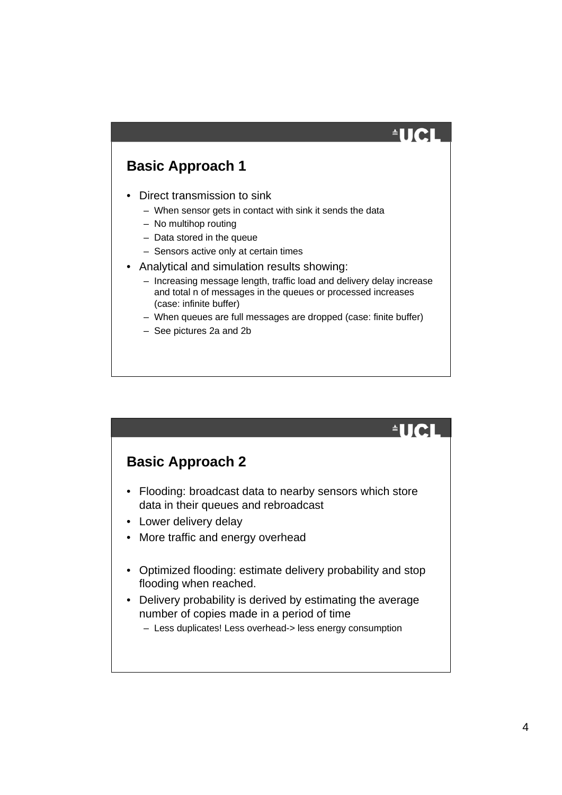# $\triangleq$

### **Basic Approach 1**

- Direct transmission to sink
	- When sensor gets in contact with sink it sends the data
	- No multihop routing
	- Data stored in the queue
	- Sensors active only at certain times
- Analytical and simulation results showing:
	- Increasing message length, traffic load and delivery delay increase and total n of messages in the queues or processed increases (case: infinite buffer)
	- When queues are full messages are dropped (case: finite buffer)
	- See pictures 2a and 2b

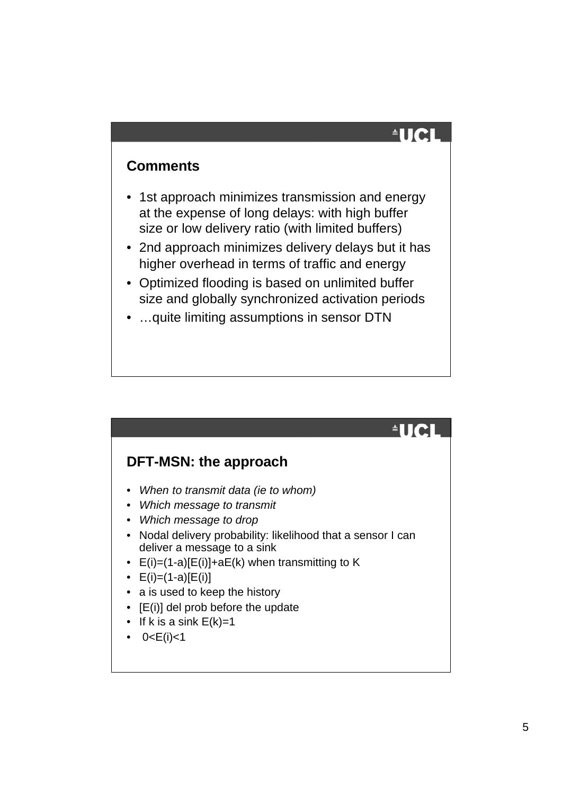# $\triangleq$ UCI

 $\triangleq$ UCI

#### **Comments**

- 1st approach minimizes transmission and energy at the expense of long delays: with high buffer size or low delivery ratio (with limited buffers)
- 2nd approach minimizes delivery delays but it has higher overhead in terms of traffic and energy
- Optimized flooding is based on unlimited buffer size and globally synchronized activation periods
- …quite limiting assumptions in sensor DTN

# **DFT-MSN: the approach**

- *When to transmit data (ie to whom)*
- *Which message to transmit*
- *Which message to drop*
- Nodal delivery probability: likelihood that a sensor I can deliver a message to a sink
- $E(i)=(1-a)[E(i)]+aE(k)$  when transmitting to K
- $E(i)=(1-a)[E(i)]$
- a is used to keep the history
- [E(i)] del prob before the update
- If k is a sink  $E(k)=1$
- $0 < E(i) < 1$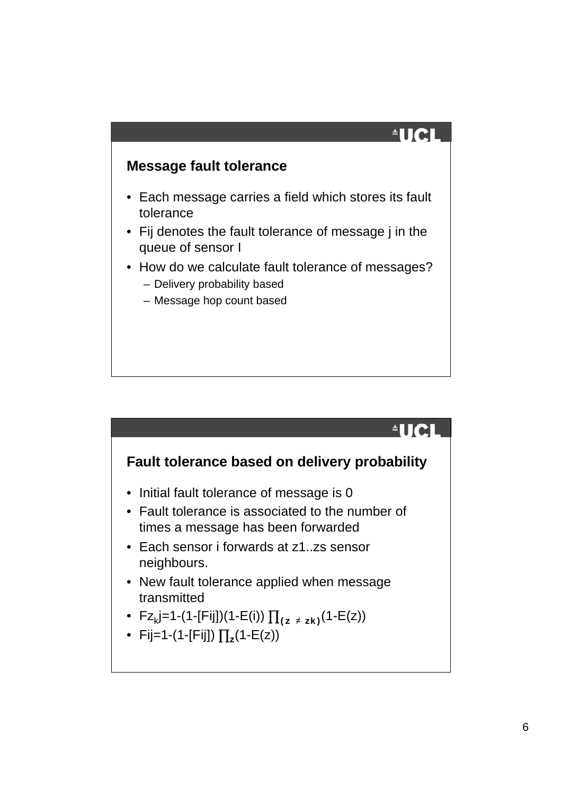## $\triangleq$ UCI

#### **Message fault tolerance**

- Each message carries a field which stores its fault tolerance
- Fij denotes the fault tolerance of message j in the queue of sensor I
- How do we calculate fault tolerance of messages?
	- Delivery probability based
	- Message hop count based

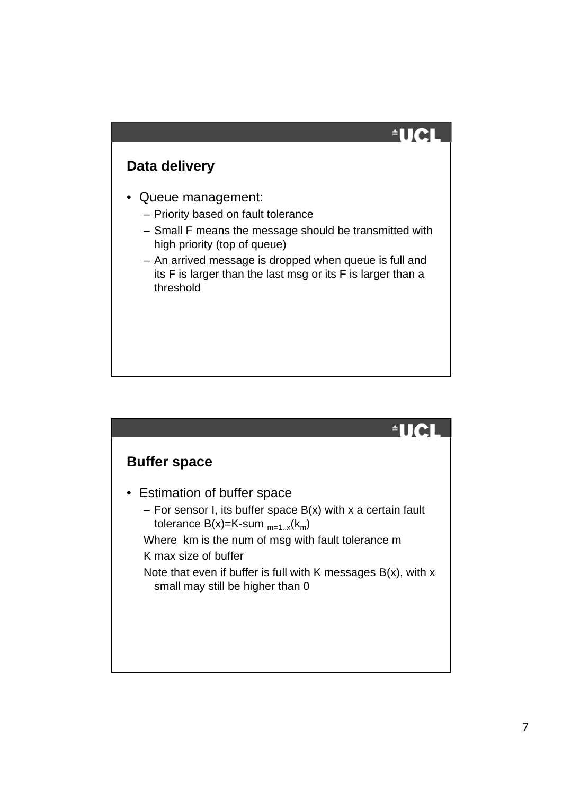### **Data delivery**

- Queue management:
	- Priority based on fault tolerance
	- Small F means the message should be transmitted with high priority (top of queue)
	- An arrived message is dropped when queue is full and its F is larger than the last msg or its F is larger than a threshold

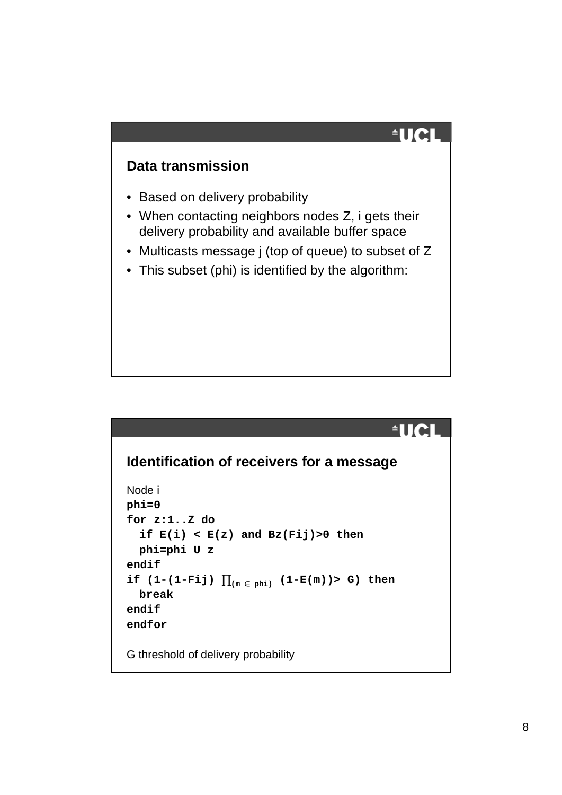# $\triangleq$ UCI

 $^4$ IICI

#### **Data transmission**

- Based on delivery probability
- When contacting neighbors nodes Z, i gets their delivery probability and available buffer space
- Multicasts message j (top of queue) to subset of Z
- This subset (phi) is identified by the algorithm:

### **Identification of receivers for a message**

```
Node i
phi=0
for z:1..Z do
   if E(i) < E(z) and Bz(Fij)>0 then
  phi=phi U z
endif
\texttt{if} \texttt{(1-(1-Fij)} \texttt{]}_{\texttt{(m} \texttt{ }\in \texttt{ }\texttt{phi})} \texttt{(1-E(m))>} \texttt{G} \texttt{ } \texttt{then}break
endif
endfor
G threshold of delivery probability
```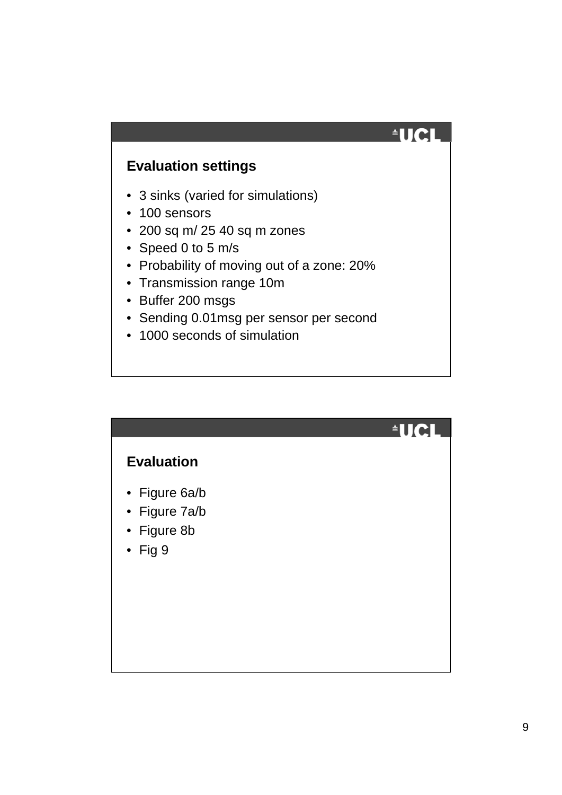### **Evaluation settings**

- 3 sinks (varied for simulations)
- 100 sensors
- 200 sq m/ 25 40 sq m zones
- Speed 0 to 5 m/s
- Probability of moving out of a zone: 20%
- Transmission range 10m
- Buffer 200 msgs
- Sending 0.01msg per sensor per second
- 1000 seconds of simulation

|                                                                  | $\blacksquare$ |
|------------------------------------------------------------------|----------------|
| <b>Evaluation</b>                                                |                |
| • Figure 6a/b<br>• Figure 7a/b<br>• Figure 8b<br>$\bullet$ Fig 9 |                |